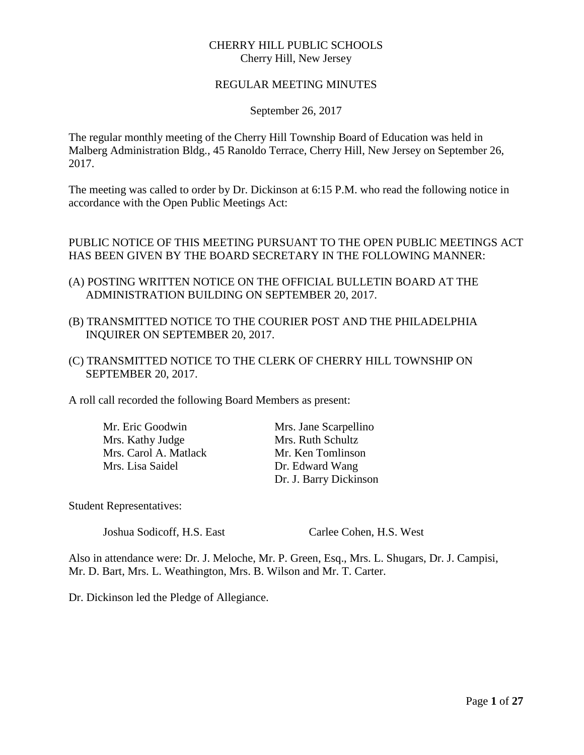# CHERRY HILL PUBLIC SCHOOLS Cherry Hill, New Jersey

#### REGULAR MEETING MINUTES

September 26, 2017

The regular monthly meeting of the Cherry Hill Township Board of Education was held in Malberg Administration Bldg., 45 Ranoldo Terrace, Cherry Hill, New Jersey on September 26, 2017.

The meeting was called to order by Dr. Dickinson at 6:15 P.M. who read the following notice in accordance with the Open Public Meetings Act:

## PUBLIC NOTICE OF THIS MEETING PURSUANT TO THE OPEN PUBLIC MEETINGS ACT HAS BEEN GIVEN BY THE BOARD SECRETARY IN THE FOLLOWING MANNER:

- (A) POSTING WRITTEN NOTICE ON THE OFFICIAL BULLETIN BOARD AT THE ADMINISTRATION BUILDING ON SEPTEMBER 20, 2017.
- (B) TRANSMITTED NOTICE TO THE COURIER POST AND THE PHILADELPHIA INQUIRER ON SEPTEMBER 20, 2017.
- (C) TRANSMITTED NOTICE TO THE CLERK OF CHERRY HILL TOWNSHIP ON SEPTEMBER 20, 2017.

A roll call recorded the following Board Members as present:

Mr. Eric Goodwin Mrs. Jane Scarpellino Mrs. Kathy Judge Mrs. Ruth Schultz<br>Mrs. Carol A. Matlack Mr. Ken Tomlinson Mrs. Carol A. Matlack Mrs. Lisa Saidel Dr. Edward Wang

Dr. J. Barry Dickinson

Student Representatives:

Joshua Sodicoff, H.S. East Carlee Cohen, H.S. West

Also in attendance were: Dr. J. Meloche, Mr. P. Green, Esq., Mrs. L. Shugars, Dr. J. Campisi, Mr. D. Bart, Mrs. L. Weathington, Mrs. B. Wilson and Mr. T. Carter.

Dr. Dickinson led the Pledge of Allegiance.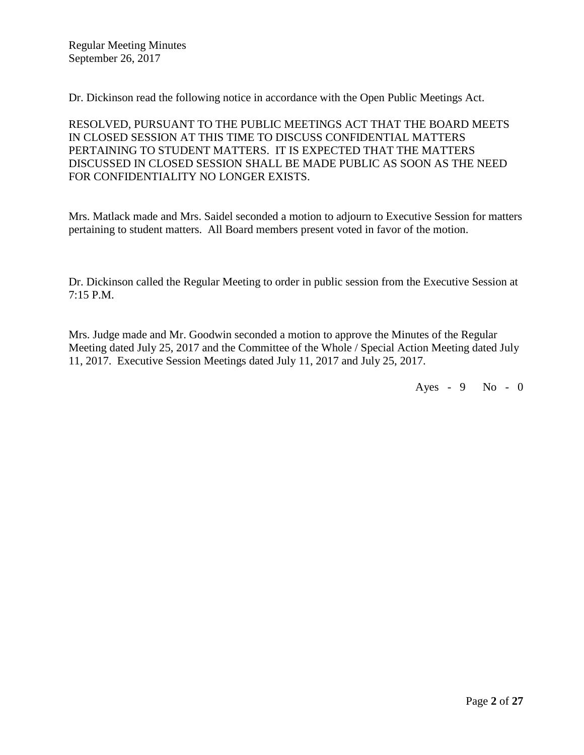Regular Meeting Minutes September 26, 2017

Dr. Dickinson read the following notice in accordance with the Open Public Meetings Act.

RESOLVED, PURSUANT TO THE PUBLIC MEETINGS ACT THAT THE BOARD MEETS IN CLOSED SESSION AT THIS TIME TO DISCUSS CONFIDENTIAL MATTERS PERTAINING TO STUDENT MATTERS. IT IS EXPECTED THAT THE MATTERS DISCUSSED IN CLOSED SESSION SHALL BE MADE PUBLIC AS SOON AS THE NEED FOR CONFIDENTIALITY NO LONGER EXISTS.

Mrs. Matlack made and Mrs. Saidel seconded a motion to adjourn to Executive Session for matters pertaining to student matters. All Board members present voted in favor of the motion.

Dr. Dickinson called the Regular Meeting to order in public session from the Executive Session at 7:15 P.M.

Mrs. Judge made and Mr. Goodwin seconded a motion to approve the Minutes of the Regular Meeting dated July 25, 2017 and the Committee of the Whole / Special Action Meeting dated July 11, 2017. Executive Session Meetings dated July 11, 2017 and July 25, 2017.

Ayes - 9 No - 0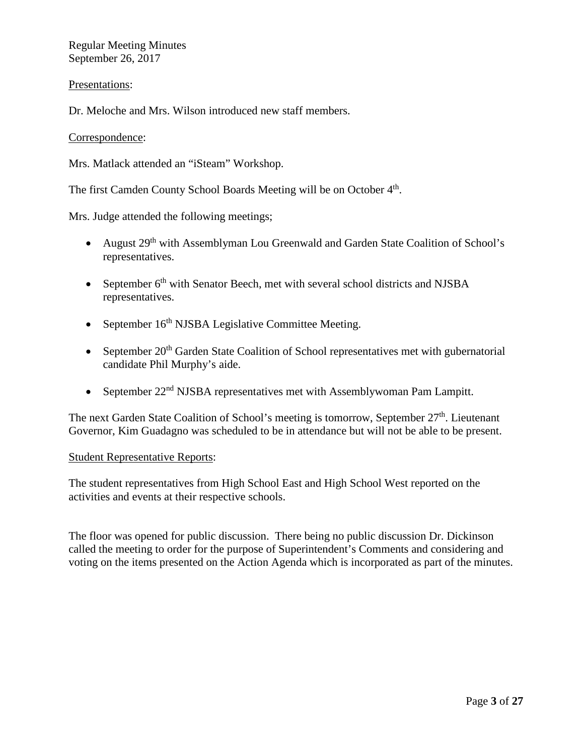Regular Meeting Minutes September 26, 2017

## Presentations:

Dr. Meloche and Mrs. Wilson introduced new staff members.

#### Correspondence:

Mrs. Matlack attended an "iSteam" Workshop.

The first Camden County School Boards Meeting will be on October  $4<sup>th</sup>$ .

Mrs. Judge attended the following meetings;

- August 29<sup>th</sup> with Assemblyman Lou Greenwald and Garden State Coalition of School's representatives.
- September  $6<sup>th</sup>$  with Senator Beech, met with several school districts and NJSBA representatives.
- September  $16<sup>th</sup> NJSBA$  Legislative Committee Meeting.
- September  $20<sup>th</sup>$  Garden State Coalition of School representatives met with gubernatorial candidate Phil Murphy's aide.
- September 22<sup>nd</sup> NJSBA representatives met with Assemblywoman Pam Lampitt.

The next Garden State Coalition of School's meeting is tomorrow, September 27<sup>th</sup>. Lieutenant Governor, Kim Guadagno was scheduled to be in attendance but will not be able to be present.

#### Student Representative Reports:

The student representatives from High School East and High School West reported on the activities and events at their respective schools.

The floor was opened for public discussion. There being no public discussion Dr. Dickinson called the meeting to order for the purpose of Superintendent's Comments and considering and voting on the items presented on the Action Agenda which is incorporated as part of the minutes.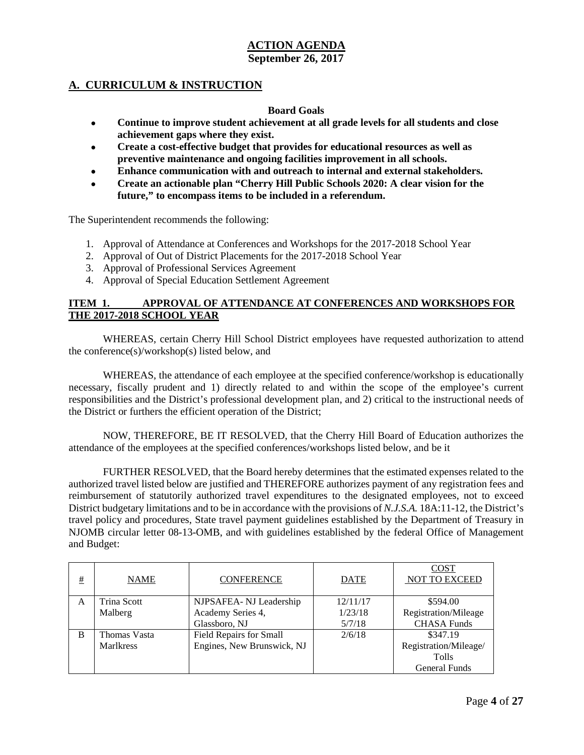## **A. CURRICULUM & INSTRUCTION**

#### **Board Goals**

- **Continue to improve student achievement at all grade levels for all students and close achievement gaps where they exist.**
- **Create a cost-effective budget that provides for educational resources as well as preventive maintenance and ongoing facilities improvement in all schools.**
- **Enhance communication with and outreach to internal and external stakeholders.**
- **Create an actionable plan "Cherry Hill Public Schools 2020: A clear vision for the future," to encompass items to be included in a referendum.**

The Superintendent recommends the following:

- 1. Approval of Attendance at Conferences and Workshops for the 2017-2018 School Year
- 2. Approval of Out of District Placements for the 2017-2018 School Year
- 3. Approval of Professional Services Agreement
- 4. Approval of Special Education Settlement Agreement

#### **ITEM 1. APPROVAL OF ATTENDANCE AT CONFERENCES AND WORKSHOPS FOR THE 2017-2018 SCHOOL YEAR**

WHEREAS, certain Cherry Hill School District employees have requested authorization to attend the conference(s)/workshop(s) listed below, and

WHEREAS, the attendance of each employee at the specified conference/workshop is educationally necessary, fiscally prudent and 1) directly related to and within the scope of the employee's current responsibilities and the District's professional development plan, and 2) critical to the instructional needs of the District or furthers the efficient operation of the District;

NOW, THEREFORE, BE IT RESOLVED, that the Cherry Hill Board of Education authorizes the attendance of the employees at the specified conferences/workshops listed below, and be it

FURTHER RESOLVED, that the Board hereby determines that the estimated expenses related to the authorized travel listed below are justified and THEREFORE authorizes payment of any registration fees and reimbursement of statutorily authorized travel expenditures to the designated employees, not to exceed District budgetary limitations and to be in accordance with the provisions of *N.J.S.A.* 18A:11-12, the District's travel policy and procedures, State travel payment guidelines established by the Department of Treasury in NJOMB circular letter 08-13-OMB, and with guidelines established by the federal Office of Management and Budget:

| # | <b>NAME</b>        | <b>CONFERENCE</b>          | <b>DATE</b> | <b>COST</b><br>NOT TO EXCEED |
|---|--------------------|----------------------------|-------------|------------------------------|
| A | <b>Trina Scott</b> | NJPSAFEA-NJ Leadership     | 12/11/17    | \$594.00                     |
|   | Malberg            | Academy Series 4,          | 1/23/18     | Registration/Mileage         |
|   |                    | Glassboro, NJ              | 5/7/18      | <b>CHASA Funds</b>           |
| B | Thomas Vasta       | Field Repairs for Small    | 2/6/18      | \$347.19                     |
|   | <b>Marlkress</b>   | Engines, New Brunswick, NJ |             | Registration/Mileage/        |
|   |                    |                            |             | <b>Tolls</b>                 |
|   |                    |                            |             | <b>General Funds</b>         |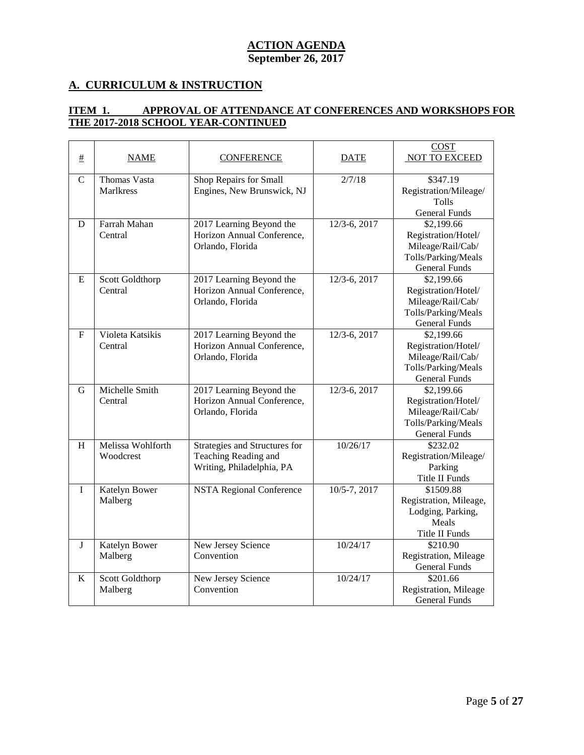# **A. CURRICULUM & INSTRUCTION**

## **ITEM 1. APPROVAL OF ATTENDANCE AT CONFERENCES AND WORKSHOPS FOR THE 2017-2018 SCHOOL YEAR-CONTINUED**

| $\pm$       | <b>NAME</b>                             | <b>CONFERENCE</b>                                                                  | <b>DATE</b>  | <b>COST</b><br>NOT TO EXCEED                                                                          |
|-------------|-----------------------------------------|------------------------------------------------------------------------------------|--------------|-------------------------------------------------------------------------------------------------------|
| $\mathbf C$ | <b>Thomas Vasta</b><br><b>Marlkress</b> | Shop Repairs for Small<br>Engines, New Brunswick, NJ                               | 2/7/18       | \$347.19<br>Registration/Mileage/<br><b>Tolls</b><br><b>General Funds</b>                             |
| D           | Farrah Mahan<br>Central                 | 2017 Learning Beyond the<br>Horizon Annual Conference,<br>Orlando, Florida         | 12/3-6, 2017 | \$2,199.66<br>Registration/Hotel/<br>Mileage/Rail/Cab/<br>Tolls/Parking/Meals<br><b>General Funds</b> |
| E           | Scott Goldthorp<br>Central              | 2017 Learning Beyond the<br>Horizon Annual Conference,<br>Orlando, Florida         | 12/3-6, 2017 | \$2,199.66<br>Registration/Hotel/<br>Mileage/Rail/Cab/<br>Tolls/Parking/Meals<br><b>General Funds</b> |
| $\mathbf F$ | Violeta Katsikis<br>Central             | 2017 Learning Beyond the<br>Horizon Annual Conference,<br>Orlando, Florida         | 12/3-6, 2017 | \$2,199.66<br>Registration/Hotel/<br>Mileage/Rail/Cab/<br>Tolls/Parking/Meals<br><b>General Funds</b> |
| G           | Michelle Smith<br>Central               | 2017 Learning Beyond the<br>Horizon Annual Conference,<br>Orlando, Florida         | 12/3-6, 2017 | \$2,199.66<br>Registration/Hotel/<br>Mileage/Rail/Cab/<br>Tolls/Parking/Meals<br><b>General Funds</b> |
| H           | Melissa Wohlforth<br>Woodcrest          | Strategies and Structures for<br>Teaching Reading and<br>Writing, Philadelphia, PA | 10/26/17     | \$232.02<br>Registration/Mileage/<br>Parking<br><b>Title II Funds</b>                                 |
| $\bf I$     | Katelyn Bower<br>Malberg                | <b>NSTA Regional Conference</b>                                                    | 10/5-7, 2017 | \$1509.88<br>Registration, Mileage,<br>Lodging, Parking,<br>Meals<br>Title II Funds                   |
| $\bf J$     | Katelyn Bower<br>Malberg                | New Jersey Science<br>Convention                                                   | 10/24/17     | \$210.90<br>Registration, Mileage<br><b>General Funds</b>                                             |
| K           | Scott Goldthorp<br>Malberg              | New Jersey Science<br>Convention                                                   | 10/24/17     | \$201.66<br>Registration, Mileage<br><b>General Funds</b>                                             |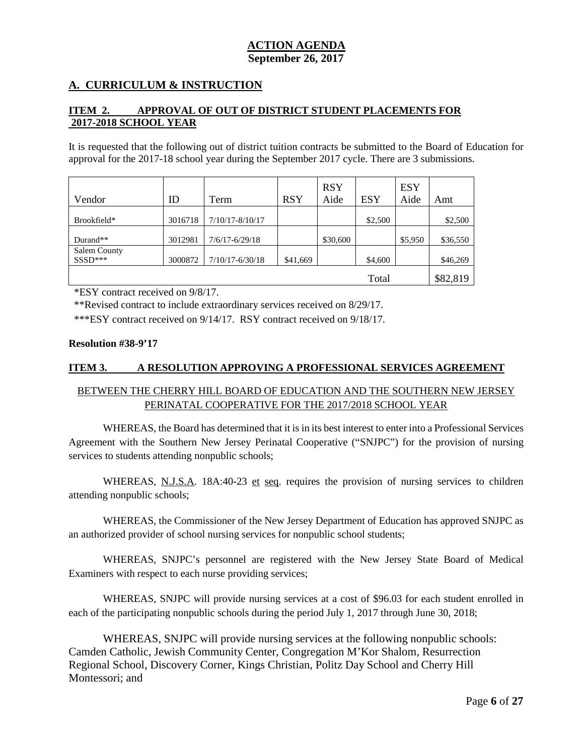## **A. CURRICULUM & INSTRUCTION**

### **ITEM 2. APPROVAL OF OUT OF DISTRICT STUDENT PLACEMENTS FOR 2017-2018 SCHOOL YEAR**

It is requested that the following out of district tuition contracts be submitted to the Board of Education for approval for the 2017-18 school year during the September 2017 cycle. There are 3 submissions.

| Vendor              | ID      | Term                | <b>RSY</b> | <b>RSY</b><br>Aide | <b>ESY</b> | <b>ESY</b><br>Aide | Amt      |
|---------------------|---------|---------------------|------------|--------------------|------------|--------------------|----------|
| Brookfield*         | 3016718 | $7/10/17 - 8/10/17$ |            |                    | \$2,500    |                    | \$2,500  |
|                     |         |                     |            |                    |            |                    |          |
| Durand**            | 3012981 | $7/6/17 - 6/29/18$  |            | \$30,600           |            | \$5,950            | \$36,550 |
| <b>Salem County</b> |         |                     |            |                    |            |                    |          |
| $SSSD***$           | 3000872 | $7/10/17 - 6/30/18$ | \$41,669   |                    | \$4,600    |                    | \$46,269 |
|                     |         |                     |            |                    |            |                    |          |
|                     |         |                     |            |                    | Total      |                    | \$82,819 |

\*ESY contract received on 9/8/17.

\*\*Revised contract to include extraordinary services received on 8/29/17.

\*\*\*ESY contract received on 9/14/17. RSY contract received on 9/18/17.

#### **Resolution #38-9'17**

#### **ITEM 3. A RESOLUTION APPROVING A PROFESSIONAL SERVICES AGREEMENT**

## BETWEEN THE CHERRY HILL BOARD OF EDUCATION AND THE SOUTHERN NEW JERSEY PERINATAL COOPERATIVE FOR THE 2017/2018 SCHOOL YEAR

WHEREAS, the Board has determined that it is in its best interest to enter into a Professional Services Agreement with the Southern New Jersey Perinatal Cooperative ("SNJPC") for the provision of nursing services to students attending nonpublic schools;

WHEREAS, N.J.S.A. 18A:40-23 et seq. requires the provision of nursing services to children attending nonpublic schools;

WHEREAS, the Commissioner of the New Jersey Department of Education has approved SNJPC as an authorized provider of school nursing services for nonpublic school students;

WHEREAS, SNJPC's personnel are registered with the New Jersey State Board of Medical Examiners with respect to each nurse providing services;

WHEREAS, SNJPC will provide nursing services at a cost of \$96.03 for each student enrolled in each of the participating nonpublic schools during the period July 1, 2017 through June 30, 2018;

WHEREAS, SNJPC will provide nursing services at the following nonpublic schools: Camden Catholic, Jewish Community Center, Congregation M'Kor Shalom, Resurrection Regional School, Discovery Corner, Kings Christian, Politz Day School and Cherry Hill Montessori; and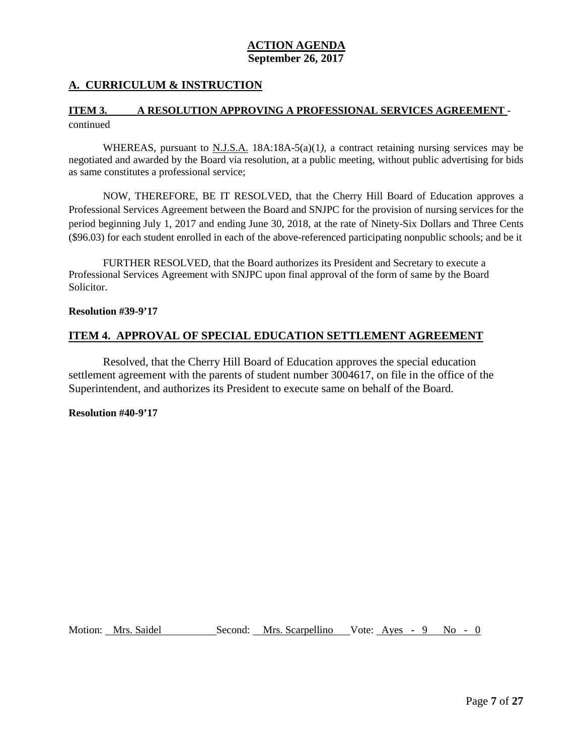## **A. CURRICULUM & INSTRUCTION**

## **ITEM 3. A RESOLUTION APPROVING A PROFESSIONAL SERVICES AGREEMENT**  continued

WHEREAS, pursuant to N.J.S.A. 18A:18A-5(a)(1*),* a contract retaining nursing services may be negotiated and awarded by the Board via resolution, at a public meeting, without public advertising for bids as same constitutes a professional service;

NOW, THEREFORE, BE IT RESOLVED, that the Cherry Hill Board of Education approves a Professional Services Agreement between the Board and SNJPC for the provision of nursing services for the period beginning July 1, 2017 and ending June 30, 2018, at the rate of Ninety-Six Dollars and Three Cents (\$96.03) for each student enrolled in each of the above-referenced participating nonpublic schools; and be it

FURTHER RESOLVED, that the Board authorizes its President and Secretary to execute a Professional Services Agreement with SNJPC upon final approval of the form of same by the Board Solicitor.

#### **Resolution #39-9'17**

#### **ITEM 4. APPROVAL OF SPECIAL EDUCATION SETTLEMENT AGREEMENT**

Resolved, that the Cherry Hill Board of Education approves the special education settlement agreement with the parents of student number 3004617, on file in the office of the Superintendent, and authorizes its President to execute same on behalf of the Board.

#### **Resolution #40-9'17**

Motion: Mrs. Saidel Second: Mrs. Scarpellino Vote: Ayes - 9 No - 0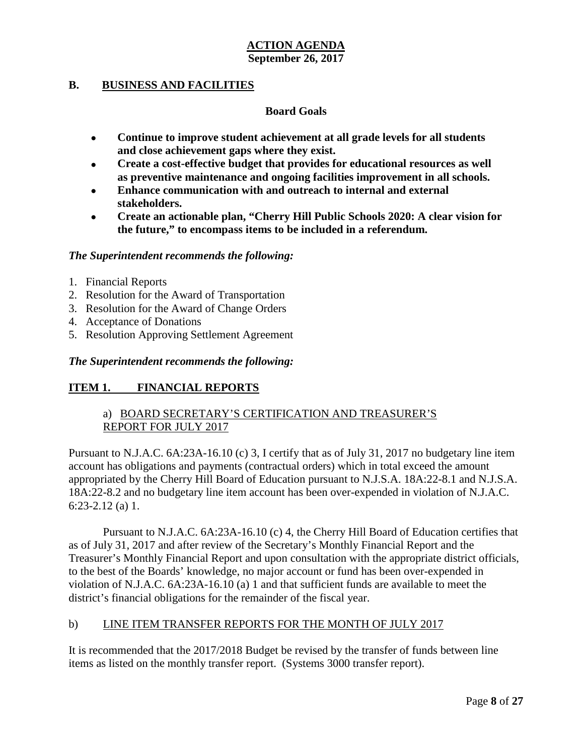## **B. BUSINESS AND FACILITIES**

## **Board Goals**

- **Continue to improve student achievement at all grade levels for all students and close achievement gaps where they exist.**
- **Create a cost-effective budget that provides for educational resources as well as preventive maintenance and ongoing facilities improvement in all schools.**
- **Enhance communication with and outreach to internal and external stakeholders.**
- **Create an actionable plan, "Cherry Hill Public Schools 2020: A clear vision for the future," to encompass items to be included in a referendum.**

#### *The Superintendent recommends the following:*

- 1. Financial Reports
- 2. Resolution for the Award of Transportation
- 3. Resolution for the Award of Change Orders
- 4. Acceptance of Donations
- 5. Resolution Approving Settlement Agreement

#### *The Superintendent recommends the following:*

## **ITEM 1. FINANCIAL REPORTS**

## a) BOARD SECRETARY'S CERTIFICATION AND TREASURER'S REPORT FOR JULY 2017

Pursuant to N.J.A.C. 6A:23A-16.10 (c) 3, I certify that as of July 31, 2017 no budgetary line item account has obligations and payments (contractual orders) which in total exceed the amount appropriated by the Cherry Hill Board of Education pursuant to N.J.S.A. 18A:22-8.1 and N.J.S.A. 18A:22-8.2 and no budgetary line item account has been over-expended in violation of N.J.A.C. 6:23-2.12 (a) 1.

Pursuant to N.J.A.C. 6A:23A-16.10 (c) 4, the Cherry Hill Board of Education certifies that as of July 31, 2017 and after review of the Secretary's Monthly Financial Report and the Treasurer's Monthly Financial Report and upon consultation with the appropriate district officials, to the best of the Boards' knowledge, no major account or fund has been over-expended in violation of N.J.A.C. 6A:23A-16.10 (a) 1 and that sufficient funds are available to meet the district's financial obligations for the remainder of the fiscal year.

## b) LINE ITEM TRANSFER REPORTS FOR THE MONTH OF JULY 2017

It is recommended that the 2017/2018 Budget be revised by the transfer of funds between line items as listed on the monthly transfer report. (Systems 3000 transfer report).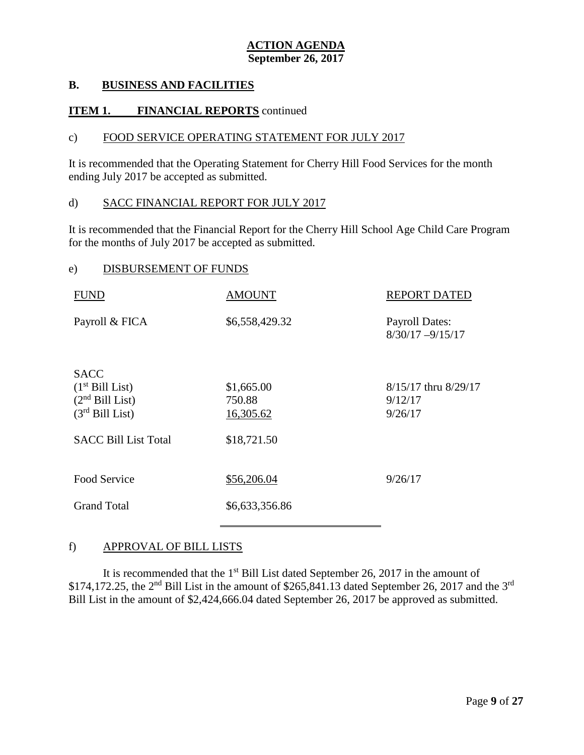## **B. BUSINESS AND FACILITIES**

## **ITEM 1. FINANCIAL REPORTS** continued

#### c) FOOD SERVICE OPERATING STATEMENT FOR JULY 2017

It is recommended that the Operating Statement for Cherry Hill Food Services for the month ending July 2017 be accepted as submitted.

#### d) SACC FINANCIAL REPORT FOR JULY 2017

It is recommended that the Financial Report for the Cherry Hill School Age Child Care Program for the months of July 2017 be accepted as submitted.

#### e) DISBURSEMENT OF FUNDS

| <b>FUND</b>                 | <b>AMOUNT</b>  | <b>REPORT DATED</b>                          |
|-----------------------------|----------------|----------------------------------------------|
| Payroll & FICA              | \$6,558,429.32 | <b>Payroll Dates:</b><br>$8/30/17 - 9/15/17$ |
| <b>SACC</b>                 |                |                                              |
| $(1st$ Bill List)           | \$1,665.00     | 8/15/17 thru 8/29/17                         |
| $(2nd$ Bill List)           | 750.88         | 9/12/17                                      |
| $(3rd$ Bill List)           | 16,305.62      | 9/26/17                                      |
| <b>SACC Bill List Total</b> | \$18,721.50    |                                              |
| Food Service                | \$56,206.04    | 9/26/17                                      |
| <b>Grand Total</b>          | \$6,633,356.86 |                                              |
|                             |                |                                              |

#### f) APPROVAL OF BILL LISTS

It is recommended that the  $1<sup>st</sup>$  Bill List dated September 26, 2017 in the amount of \$174,172.25, the 2<sup>nd</sup> Bill List in the amount of \$265,841.13 dated September 26, 2017 and the 3<sup>rd</sup> Bill List in the amount of \$2,424,666.04 dated September 26, 2017 be approved as submitted.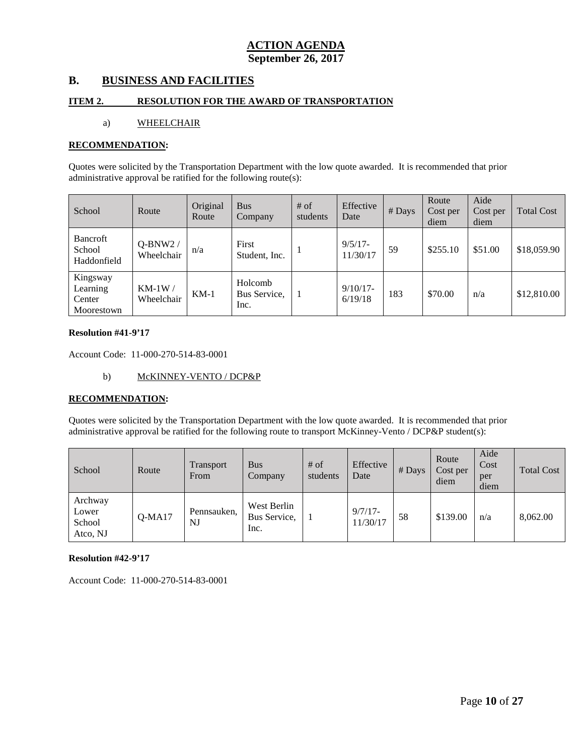## **B. BUSINESS AND FACILITIES**

#### **ITEM 2. RESOLUTION FOR THE AWARD OF TRANSPORTATION**

#### a) WHEELCHAIR

#### **RECOMMENDATION:**

Quotes were solicited by the Transportation Department with the low quote awarded. It is recommended that prior administrative approval be ratified for the following route(s):

| School                                       | Route                   | Original<br>Route | <b>Bus</b><br>Company           | $#$ of<br>students | Effective<br>Date      | # Days | Route<br>Cost per<br>diem | Aide<br>Cost per<br>diem | <b>Total Cost</b> |
|----------------------------------------------|-------------------------|-------------------|---------------------------------|--------------------|------------------------|--------|---------------------------|--------------------------|-------------------|
| <b>Bancroft</b><br>School<br>Haddonfield     | $Q-BNW2/$<br>Wheelchair | n/a               | First<br>Student, Inc.          |                    | $9/5/17$ -<br>11/30/17 | 59     | \$255.10                  | \$51.00                  | \$18,059.90       |
| Kingsway<br>Learning<br>Center<br>Moorestown | $KM-1W/$<br>Wheelchair  | $KM-1$            | Holcomb<br>Bus Service.<br>Inc. |                    | $9/10/17$ -<br>6/19/18 | 183    | \$70.00                   | n/a                      | \$12,810.00       |

#### **Resolution #41-9'17**

Account Code: 11-000-270-514-83-0001

b) McKINNEY-VENTO / DCP&P

#### **RECOMMENDATION:**

Quotes were solicited by the Transportation Department with the low quote awarded. It is recommended that prior administrative approval be ratified for the following route to transport McKinney-Vento / DCP&P student(s):

| School                                 | Route    | <b>Transport</b><br>From | <b>Bus</b><br>Company               | $#$ of<br>students | Effective<br>Date      | $#$ Days | Route<br>Cost per<br>diem | Aide<br>Cost<br>per<br>diem | <b>Total Cost</b> |
|----------------------------------------|----------|--------------------------|-------------------------------------|--------------------|------------------------|----------|---------------------------|-----------------------------|-------------------|
| Archway<br>Lower<br>School<br>Atco, NJ | $Q-MA17$ | Pennsauken.<br>NJ        | West Berlin<br>Bus Service,<br>Inc. |                    | $9/7/17$ -<br>11/30/17 | 58       | \$139.00                  | n/a                         | 8,062.00          |

#### **Resolution #42-9'17**

Account Code: 11-000-270-514-83-0001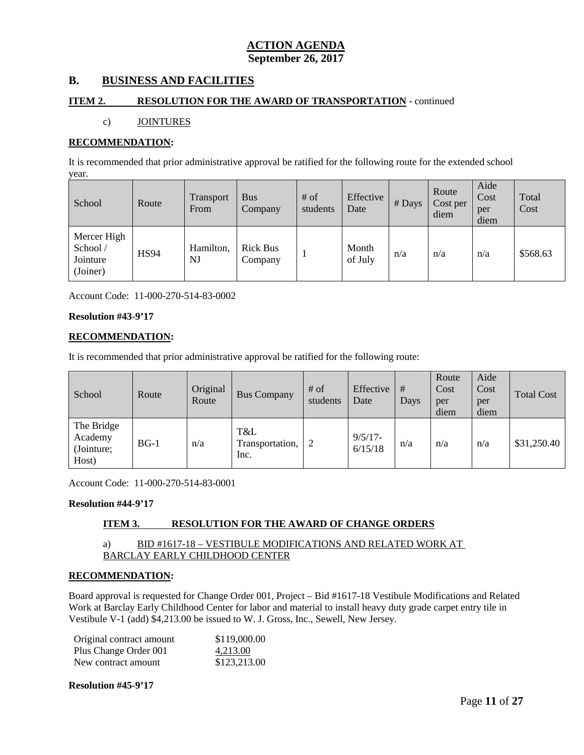# **B. BUSINESS AND FACILITIES**

#### **ITEM 2. RESOLUTION FOR THE AWARD OF TRANSPORTATION** - continued

#### c) JOINTURES

#### **RECOMMENDATION:**

It is recommended that prior administrative approval be ratified for the following route for the extended school year.

| School                                         | Route       | Transport<br>From | <b>Bus</b><br>Company      | $#$ of<br>students | Effective<br>Date | # Days | Route<br>Cost per<br>diem | Aide<br>Cost<br>per<br>diem | Total<br>Cost |
|------------------------------------------------|-------------|-------------------|----------------------------|--------------------|-------------------|--------|---------------------------|-----------------------------|---------------|
| Mercer High<br>School/<br>Jointure<br>(Joiner) | <b>HS94</b> | Hamilton,<br>NJ   | <b>Rick Bus</b><br>Company |                    | Month<br>of July  | n/a    | n/a                       | n/a                         | \$568.63      |

Account Code: 11-000-270-514-83-0002

#### **Resolution #43-9'17**

#### **RECOMMENDATION:**

It is recommended that prior administrative approval be ratified for the following route:

| School                                       | Route  | Original<br>Route | <b>Bus Company</b>             | $#$ of<br>students | Effective<br>Date     | #<br>Days | Route<br>Cost<br>per<br>diem | Aide<br>Cost<br>per<br>diem | <b>Total Cost</b> |
|----------------------------------------------|--------|-------------------|--------------------------------|--------------------|-----------------------|-----------|------------------------------|-----------------------------|-------------------|
| The Bridge<br>Academy<br>(Jointure;<br>Host) | $BG-1$ | n/a               | T&L<br>Transportation,<br>Inc. |                    | $9/5/17 -$<br>6/15/18 | n/a       | n/a                          | n/a                         | \$31,250.40       |

Account Code: 11-000-270-514-83-0001

**Resolution #44-9'17**

## **ITEM 3. RESOLUTION FOR THE AWARD OF CHANGE ORDERS**

#### a) BID #1617-18 – VESTIBULE MODIFICATIONS AND RELATED WORK AT BARCLAY EARLY CHILDHOOD CENTER

#### **RECOMMENDATION:**

Board approval is requested for Change Order 001, Project – Bid #1617-18 Vestibule Modifications and Related Work at Barclay Early Childhood Center for labor and material to install heavy duty grade carpet entry tile in Vestibule V-1 (add) \$4,213.00 be issued to W. J. Gross, Inc., Sewell, New Jersey.

| Original contract amount | \$119,000.00 |
|--------------------------|--------------|
| Plus Change Order 001    | 4,213.00     |
| New contract amount      | \$123,213.00 |

#### **Resolution #45-9'17**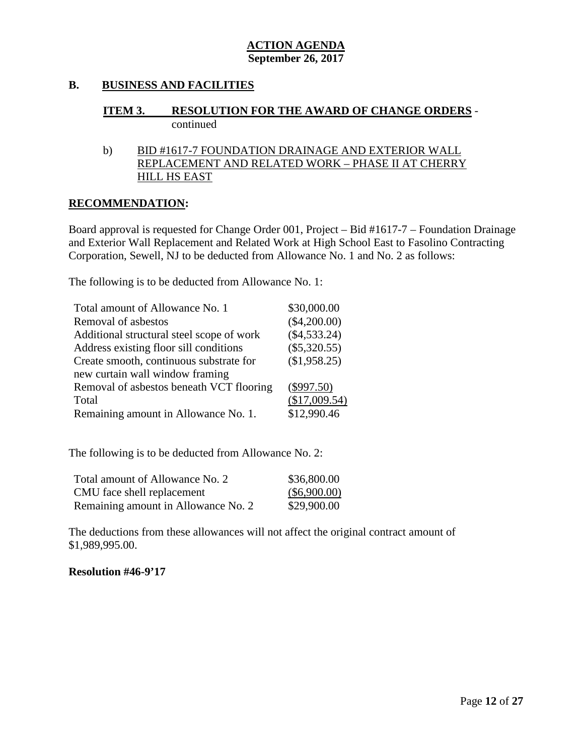## **B. BUSINESS AND FACILITIES**

# **ITEM 3. RESOLUTION FOR THE AWARD OF CHANGE ORDERS** continued

## b) BID #1617-7 FOUNDATION DRAINAGE AND EXTERIOR WALL REPLACEMENT AND RELATED WORK – PHASE II AT CHERRY HILL HS EAST

#### **RECOMMENDATION:**

Board approval is requested for Change Order 001, Project – Bid #1617-7 – Foundation Drainage and Exterior Wall Replacement and Related Work at High School East to Fasolino Contracting Corporation, Sewell, NJ to be deducted from Allowance No. 1 and No. 2 as follows:

The following is to be deducted from Allowance No. 1:

| Total amount of Allowance No. 1           | \$30,000.00    |
|-------------------------------------------|----------------|
| Removal of asbestos                       | $(\$4,200.00)$ |
| Additional structural steel scope of work | $(\$4,533.24)$ |
| Address existing floor sill conditions    | $(\$5,320.55)$ |
| Create smooth, continuous substrate for   | (\$1,958.25)   |
| new curtain wall window framing           |                |
| Removal of asbestos beneath VCT flooring  | $(\$997.50)$   |
| Total                                     | (\$17,009.54)  |
| Remaining amount in Allowance No. 1.      | \$12,990.46    |

The following is to be deducted from Allowance No. 2:

| Total amount of Allowance No. 2     | \$36,800.00    |
|-------------------------------------|----------------|
| CMU face shell replacement          | $(\$6,900.00)$ |
| Remaining amount in Allowance No. 2 | \$29,900.00    |

The deductions from these allowances will not affect the original contract amount of \$1,989,995.00.

#### **Resolution #46-9'17**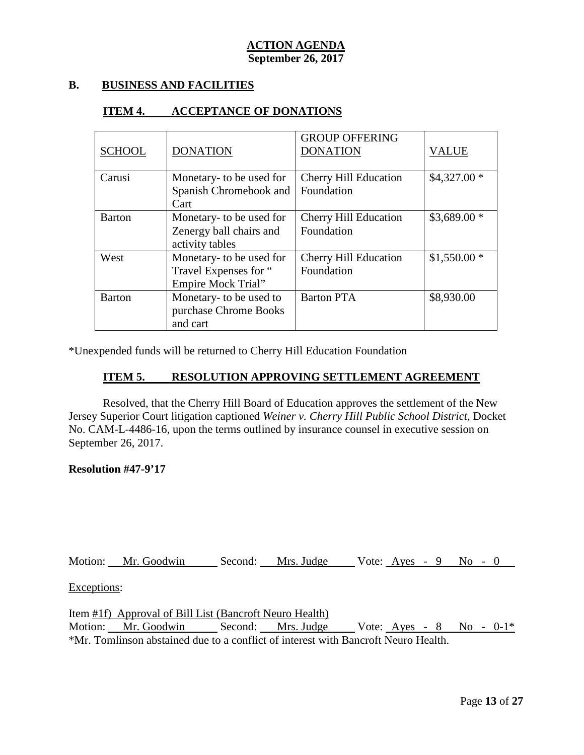## **B. BUSINESS AND FACILITIES**

#### **ITEM 4. ACCEPTANCE OF DONATIONS**

| <b>SCHOOL</b> | <b>DONATION</b>                                                                | <b>GROUP OFFERING</b><br><b>DONATION</b>   | <b>VALUE</b> |
|---------------|--------------------------------------------------------------------------------|--------------------------------------------|--------------|
| Carusi        | Monetary- to be used for<br>Spanish Chromebook and<br>Cart                     | <b>Cherry Hill Education</b><br>Foundation | $$4,327.00*$ |
| <b>Barton</b> | Monetary- to be used for<br>Zenergy ball chairs and<br>activity tables         | <b>Cherry Hill Education</b><br>Foundation | $$3,689.00*$ |
| West          | Monetary- to be used for<br>Travel Expenses for "<br><b>Empire Mock Trial"</b> | <b>Cherry Hill Education</b><br>Foundation | $$1,550.00*$ |
| <b>Barton</b> | Monetary- to be used to<br>purchase Chrome Books<br>and cart                   | <b>Barton PTA</b>                          | \$8,930.00   |

\*Unexpended funds will be returned to Cherry Hill Education Foundation

## **ITEM 5. RESOLUTION APPROVING SETTLEMENT AGREEMENT**

Resolved, that the Cherry Hill Board of Education approves the settlement of the New Jersey Superior Court litigation captioned *Weiner v. Cherry Hill Public School District*, Docket No. CAM-L-4486-16, upon the terms outlined by insurance counsel in executive session on September 26, 2017.

#### **Resolution #47-9'17**

Motion: Mr. Goodwin Second: Mrs. Judge Vote: Ayes - 9 No - 0

## Exceptions:

Item #1f) Approval of Bill List (Bancroft Neuro Health) Motion: Mr. Goodwin Second: Mrs. Judge Vote: Ayes - 8 No - 0-1\* \*Mr. Tomlinson abstained due to a conflict of interest with Bancroft Neuro Health.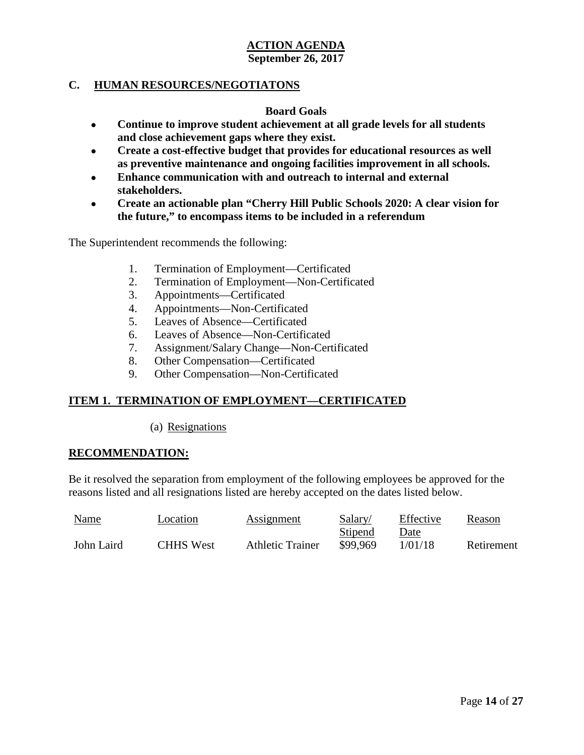# **C. HUMAN RESOURCES/NEGOTIATONS**

#### **Board Goals**

- **Continue to improve student achievement at all grade levels for all students and close achievement gaps where they exist.**
- **Create a cost-effective budget that provides for educational resources as well as preventive maintenance and ongoing facilities improvement in all schools.**
- **Enhance communication with and outreach to internal and external stakeholders.**
- **Create an actionable plan "Cherry Hill Public Schools 2020: A clear vision for the future," to encompass items to be included in a referendum**

The Superintendent recommends the following:

- 1. Termination of Employment—Certificated
- 2. Termination of Employment—Non-Certificated
- 3. Appointments—Certificated
- 4. Appointments—Non-Certificated
- 5. Leaves of Absence—Certificated
- 6. Leaves of Absence—Non-Certificated
- 7. Assignment/Salary Change—Non-Certificated
- 8. Other Compensation—Certificated
- 9. Other Compensation—Non-Certificated

# **ITEM 1. TERMINATION OF EMPLOYMENT—CERTIFICATED**

(a) Resignations

#### **RECOMMENDATION:**

Be it resolved the separation from employment of the following employees be approved for the reasons listed and all resignations listed are hereby accepted on the dates listed below.

| <b>Name</b> | Location         | <b>Assignment</b>       | Salary/  | Effective | Reason     |
|-------------|------------------|-------------------------|----------|-----------|------------|
|             |                  |                         | Stipend  | Date      |            |
| John Laird  | <b>CHHS</b> West | <b>Athletic Trainer</b> | \$99.969 | 1/01/18   | Retirement |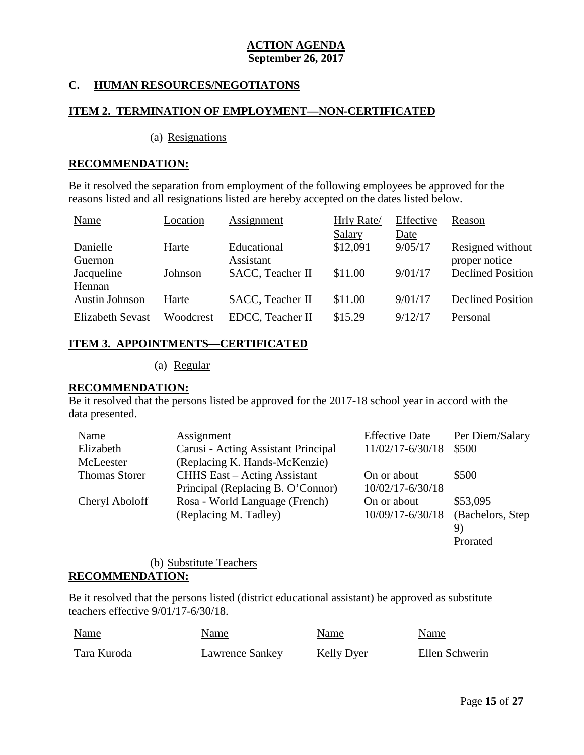# **C. HUMAN RESOURCES/NEGOTIATONS**

#### **ITEM 2. TERMINATION OF EMPLOYMENT—NON-CERTIFICATED**

(a) Resignations

#### **RECOMMENDATION:**

Be it resolved the separation from employment of the following employees be approved for the reasons listed and all resignations listed are hereby accepted on the dates listed below.

| Name                  | Location  | Assignment               | Hrly Rate/    | Effective | Reason                   |
|-----------------------|-----------|--------------------------|---------------|-----------|--------------------------|
|                       |           |                          | <b>Salary</b> | Date      |                          |
| Danielle              | Harte     | Educational              | \$12,091      | 9/05/17   | Resigned without         |
| Guernon               |           | Assistant                |               |           | proper notice            |
| Jacqueline            | Johnson   | SACC, Teacher II         | \$11.00       | 9/01/17   | <b>Declined Position</b> |
| Hennan                |           |                          |               |           |                          |
| <b>Austin Johnson</b> | Harte     | <b>SACC</b> , Teacher II | \$11.00       | 9/01/17   | <b>Declined Position</b> |
| Elizabeth Sevast      | Woodcrest | EDCC, Teacher II         | \$15.29       | 9/12/17   | Personal                 |

# **ITEM 3. APPOINTMENTS—CERTIFICATED**

(a) Regular

#### **RECOMMENDATION:**

Be it resolved that the persons listed be approved for the 2017-18 school year in accord with the data presented.

| Name                 | Assignment                          | <b>Effective Date</b> | Per Diem/Salary   |
|----------------------|-------------------------------------|-----------------------|-------------------|
| Elizabeth            | Carusi - Acting Assistant Principal | 11/02/17-6/30/18      | \$500             |
| McLeester            | (Replacing K. Hands-McKenzie)       |                       |                   |
| <b>Thomas Storer</b> | <b>CHHS</b> East – Acting Assistant | On or about           | \$500             |
|                      | Principal (Replacing B. O'Connor)   | $10/02/17 - 6/30/18$  |                   |
| Cheryl Aboloff       | Rosa - World Language (French)      | On or about           | \$53,095          |
|                      | (Replacing M. Tadley)               | 10/09/17-6/30/18      | (Bachelors, Step) |
|                      |                                     |                       | 9)                |
|                      |                                     |                       | Prorated          |

## (b) Substitute Teachers **RECOMMENDATION:**

Be it resolved that the persons listed (district educational assistant) be approved as substitute teachers effective 9/01/17-6/30/18.

| Name        | Name            | Name       | Name           |
|-------------|-----------------|------------|----------------|
| Tara Kuroda | Lawrence Sankey | Kelly Dyer | Ellen Schwerin |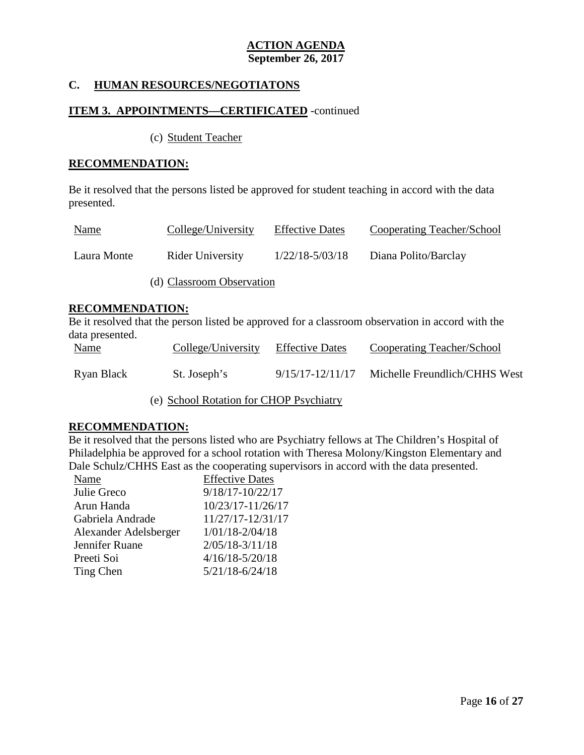# **C. HUMAN RESOURCES/NEGOTIATONS**

#### **ITEM 3. APPOINTMENTS—CERTIFICATED** -continued

(c) Student Teacher

#### **RECOMMENDATION:**

Be it resolved that the persons listed be approved for student teaching in accord with the data presented.

| <u>Name</u> | College/University        | <b>Effective Dates</b> | Cooperating Teacher/School |
|-------------|---------------------------|------------------------|----------------------------|
| Laura Monte | Rider University          | $1/22/18 - 5/03/18$    | Diana Polito/Barclay       |
|             | (d) Classroom Observation |                        |                            |

#### **RECOMMENDATION:**

Be it resolved that the person listed be approved for a classroom observation in accord with the data presented.

| <b>Name</b> | College/University | <b>Effective Dates</b> | Cooperating Teacher/School    |
|-------------|--------------------|------------------------|-------------------------------|
| Ryan Black  | St. Joseph's       | 9/15/17-12/11/17       | Michelle Freundlich/CHHS West |

(e) School Rotation for CHOP Psychiatry

#### **RECOMMENDATION:**

Be it resolved that the persons listed who are Psychiatry fellows at The Children's Hospital of Philadelphia be approved for a school rotation with Theresa Molony/Kingston Elementary and Dale Schulz/CHHS East as the cooperating supervisors in accord with the data presented.

| Name                  | <b>Effective Dates</b> |
|-----------------------|------------------------|
| Julie Greco           | $9/18/17 - 10/22/17$   |
| Arun Handa            | 10/23/17-11/26/17      |
| Gabriela Andrade      | 11/27/17-12/31/17      |
| Alexander Adelsberger | $1/01/18 - 2/04/18$    |
| Jennifer Ruane        | $2/05/18 - 3/11/18$    |
| Preeti Soi            | $4/16/18 - 5/20/18$    |
| Ting Chen             | $5/21/18 - 6/24/18$    |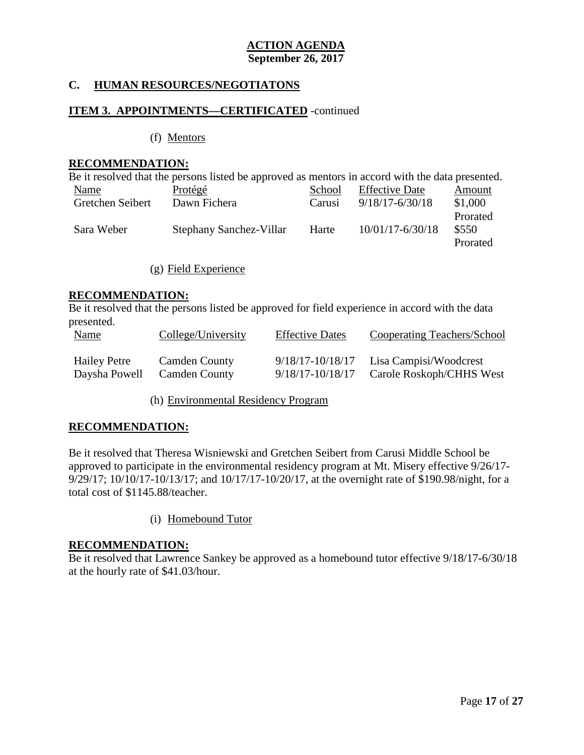# **C. HUMAN RESOURCES/NEGOTIATONS**

#### **ITEM 3. APPOINTMENTS—CERTIFICATED** -continued

(f) Mentors

#### **RECOMMENDATION:**

|                  | Be it resolved that the persons listed be approved as mentors in accord with the data presented. |        |                       |          |
|------------------|--------------------------------------------------------------------------------------------------|--------|-----------------------|----------|
| Name             | Protégé                                                                                          | School | <b>Effective Date</b> | Amount   |
| Gretchen Seibert | Dawn Fichera                                                                                     | Carusi | $9/18/17 - 6/30/18$   | \$1,000  |
|                  |                                                                                                  |        |                       | Prorated |
| Sara Weber       | Stephany Sanchez-Villar                                                                          | Harte  | $10/01/17 - 6/30/18$  | \$550    |
|                  |                                                                                                  |        |                       | Prorated |

(g) Field Experience

#### **RECOMMENDATION:**

Be it resolved that the persons listed be approved for field experience in accord with the data presented.

| <u>Name</u>         | College/University   | <b>Effective Dates</b> | Cooperating Teachers/School |
|---------------------|----------------------|------------------------|-----------------------------|
| <b>Hailey Petre</b> | <b>Camden County</b> | 9/18/17-10/18/17       | Lisa Campisi/Woodcrest      |
| Daysha Powell       | <b>Camden County</b> | 9/18/17-10/18/17       | Carole Roskoph/CHHS West    |

(h) Environmental Residency Program

## **RECOMMENDATION:**

Be it resolved that Theresa Wisniewski and Gretchen Seibert from Carusi Middle School be approved to participate in the environmental residency program at Mt. Misery effective 9/26/17- 9/29/17; 10/10/17-10/13/17; and 10/17/17-10/20/17, at the overnight rate of \$190.98/night, for a total cost of \$1145.88/teacher.

(i) Homebound Tutor

#### **RECOMMENDATION:**

Be it resolved that Lawrence Sankey be approved as a homebound tutor effective 9/18/17-6/30/18 at the hourly rate of \$41.03/hour.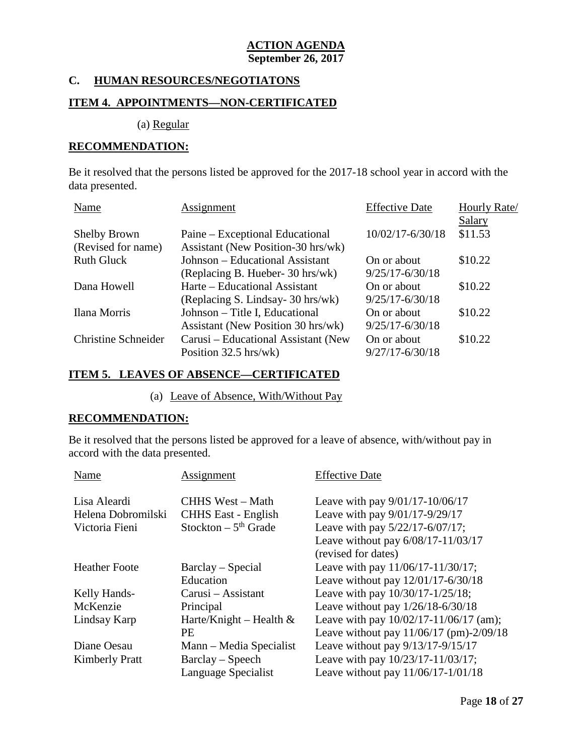## **C. HUMAN RESOURCES/NEGOTIATONS**

#### **ITEM 4. APPOINTMENTS—NON-CERTIFICATED**

(a) Regular

#### **RECOMMENDATION:**

Be it resolved that the persons listed be approved for the 2017-18 school year in accord with the data presented.

| Name                       | Assignment                          | <b>Effective Date</b> | Hourly Rate/  |
|----------------------------|-------------------------------------|-----------------------|---------------|
|                            |                                     |                       | <b>Salary</b> |
| <b>Shelby Brown</b>        | Paine – Exceptional Educational     | $10/02/17 - 6/30/18$  | \$11.53       |
| (Revised for name)         | Assistant (New Position-30 hrs/wk)  |                       |               |
| <b>Ruth Gluck</b>          | Johnson – Educational Assistant     | On or about           | \$10.22       |
|                            | (Replacing B. Hueber- 30 hrs/wk)    | $9/25/17 - 6/30/18$   |               |
| Dana Howell                | Harte – Educational Assistant       | On or about           | \$10.22       |
|                            | (Replacing S. Lindsay-30 hrs/wk)    | $9/25/17 - 6/30/18$   |               |
| Ilana Morris               | Johnson – Title I, Educational      | On or about           | \$10.22       |
|                            | Assistant (New Position 30 hrs/wk)  | $9/25/17 - 6/30/18$   |               |
| <b>Christine Schneider</b> | Carusi – Educational Assistant (New | On or about           | \$10.22       |
|                            | Position $32.5$ hrs/wk)             | $9/27/17 - 6/30/18$   |               |

# **ITEM 5. LEAVES OF ABSENCE—CERTIFICATED**

(a) Leave of Absence, With/Without Pay

#### **RECOMMENDATION:**

Be it resolved that the persons listed be approved for a leave of absence, with/without pay in accord with the data presented.

| Name                  | Assignment                        | <b>Effective Date</b>                      |
|-----------------------|-----------------------------------|--------------------------------------------|
| Lisa Aleardi          | <b>CHHS West - Math</b>           | Leave with pay $9/01/17 - 10/06/17$        |
| Helena Dobromilski    | <b>CHHS</b> East - English        | Leave with pay 9/01/17-9/29/17             |
| Victoria Fieni        | Stockton $-5$ <sup>th</sup> Grade | Leave with pay 5/22/17-6/07/17;            |
|                       |                                   | Leave without pay 6/08/17-11/03/17         |
|                       |                                   | (revised for dates)                        |
| <b>Heather Foote</b>  | Barclay – Special                 | Leave with pay 11/06/17-11/30/17;          |
|                       | Education                         | Leave without pay 12/01/17-6/30/18         |
| Kelly Hands-          | Carusi – Assistant                | Leave with pay 10/30/17-1/25/18;           |
| McKenzie              | Principal                         | Leave without pay $1/26/18 - 6/30/18$      |
| Lindsay Karp          | Harte/Knight – Health $&$         | Leave with pay $10/02/17 - 11/06/17$ (am); |
|                       | <b>PE</b>                         | Leave without pay 11/06/17 (pm)-2/09/18    |
| Diane Oesau           | Mann – Media Specialist           | Leave without pay 9/13/17-9/15/17          |
| <b>Kimberly Pratt</b> | $Barclay-Speech$                  | Leave with pay 10/23/17-11/03/17;          |
|                       | Language Specialist               | Leave without pay $11/06/17 - 1/01/18$     |
|                       |                                   |                                            |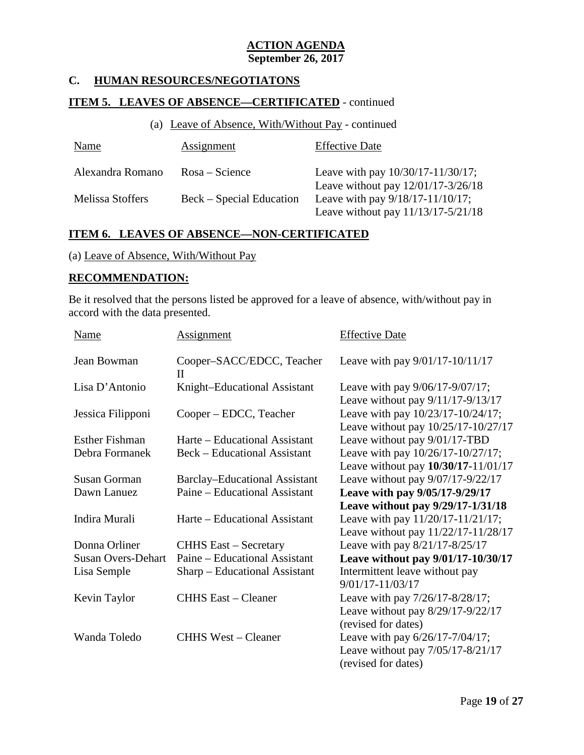# **C. HUMAN RESOURCES/NEGOTIATONS**

# **ITEM 5. LEAVES OF ABSENCE—CERTIFICATED** - continued

### (a) Leave of Absence, With/Without Pay - continued

| Name                    | Assignment               | <b>Effective Date</b>                  |
|-------------------------|--------------------------|----------------------------------------|
| Alexandra Romano        | $Rosa - Science$         | Leave with pay $10/30/17 - 11/30/17$ ; |
|                         |                          | Leave without pay $12/01/17 - 3/26/18$ |
| <b>Melissa Stoffers</b> | Beck – Special Education | Leave with pay 9/18/17-11/10/17;       |
|                         |                          | Leave without pay 11/13/17-5/21/18     |

## **ITEM 6. LEAVES OF ABSENCE—NON-CERTIFICATED**

## (a) Leave of Absence, With/Without Pay

#### **RECOMMENDATION:**

Be it resolved that the persons listed be approved for a leave of absence, with/without pay in accord with the data presented.

| <b>Name</b>               | <u>Assignment</u>                         | <b>Effective Date</b>               |
|---------------------------|-------------------------------------------|-------------------------------------|
| Jean Bowman               | Cooper-SACC/EDCC, Teacher<br>$\mathbf{H}$ | Leave with pay 9/01/17-10/11/17     |
| Lisa D'Antonio            | Knight-Educational Assistant              | Leave with pay 9/06/17-9/07/17;     |
|                           |                                           | Leave without pay 9/11/17-9/13/17   |
| Jessica Filipponi         | Cooper – EDCC, Teacher                    | Leave with pay 10/23/17-10/24/17;   |
|                           |                                           | Leave without pay 10/25/17-10/27/17 |
| <b>Esther Fishman</b>     | Harte – Educational Assistant             | Leave without pay 9/01/17-TBD       |
| Debra Formanek            | <b>Beck</b> – Educational Assistant       | Leave with pay 10/26/17-10/27/17;   |
|                           |                                           | Leave without pay 10/30/17-11/01/17 |
| <b>Susan Gorman</b>       | <b>Barclay–Educational Assistant</b>      | Leave without pay 9/07/17-9/22/17   |
| Dawn Lanuez               | Paine – Educational Assistant             | Leave with pay 9/05/17-9/29/17      |
|                           |                                           | Leave without pay 9/29/17-1/31/18   |
| Indira Murali             | Harte – Educational Assistant             | Leave with pay 11/20/17-11/21/17;   |
|                           |                                           | Leave without pay 11/22/17-11/28/17 |
| Donna Orliner             | <b>CHHS East – Secretary</b>              | Leave with pay 8/21/17-8/25/17      |
| <b>Susan Overs-Dehart</b> | Paine – Educational Assistant             | Leave without pay 9/01/17-10/30/17  |
| Lisa Semple               | Sharp – Educational Assistant             | Intermittent leave without pay      |
|                           |                                           | $9/01/17 - 11/03/17$                |
| Kevin Taylor              | <b>CHHS East – Cleaner</b>                | Leave with pay 7/26/17-8/28/17;     |
|                           |                                           | Leave without pay 8/29/17-9/22/17   |
|                           |                                           | (revised for dates)                 |
| Wanda Toledo              | <b>CHHS West – Cleaner</b>                | Leave with pay 6/26/17-7/04/17;     |
|                           |                                           | Leave without pay 7/05/17-8/21/17   |
|                           |                                           | (revised for dates)                 |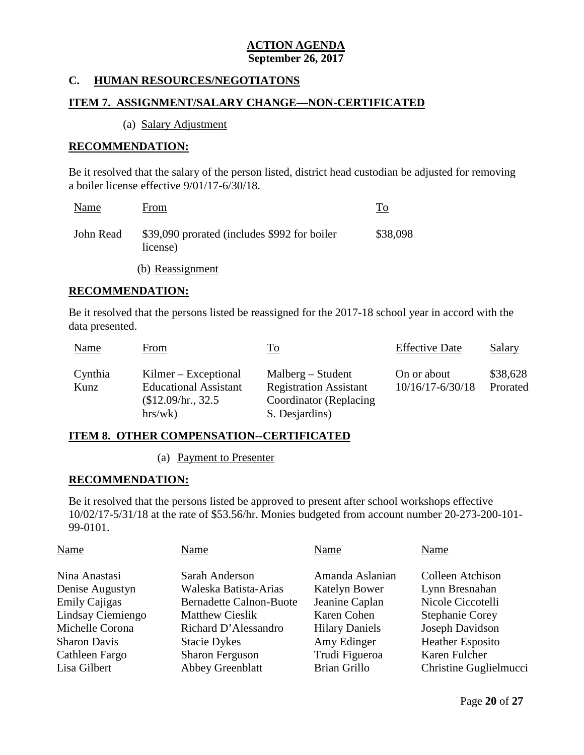## **C. HUMAN RESOURCES/NEGOTIATONS**

# **ITEM 7. ASSIGNMENT/SALARY CHANGE—NON-CERTIFICATED**

(a) Salary Adjustment

#### **RECOMMENDATION:**

Be it resolved that the salary of the person listed, district head custodian be adjusted for removing a boiler license effective 9/01/17-6/30/18.

| Name      | From                                                     | To       |
|-----------|----------------------------------------------------------|----------|
| John Read | \$39,090 prorated (includes \$992 for boiler<br>license) | \$38,098 |

(b) Reassignment

#### **RECOMMENDATION:**

Be it resolved that the persons listed be reassigned for the 2017-18 school year in accord with the data presented.

| Name            | From                                                                                     | To                                                                                                | <b>Effective Date</b>               | Salary               |
|-----------------|------------------------------------------------------------------------------------------|---------------------------------------------------------------------------------------------------|-------------------------------------|----------------------|
| Cynthia<br>Kunz | $Kilmer - Exceptional$<br><b>Educational Assistant</b><br>$$12.09/hr.$ , 32.5<br>hrs/wk) | $Malberg - Student$<br><b>Registration Assistant</b><br>Coordinator (Replacing)<br>S. Desjardins) | On or about<br>$10/16/17 - 6/30/18$ | \$38,628<br>Prorated |

#### **ITEM 8. OTHER COMPENSATION--CERTIFICATED**

(a) Payment to Presenter

## **RECOMMENDATION:**

Be it resolved that the persons listed be approved to present after school workshops effective 10/02/17-5/31/18 at the rate of \$53.56/hr. Monies budgeted from account number 20-273-200-101- 99-0101.

| Name                           | Name                  | Name                    |
|--------------------------------|-----------------------|-------------------------|
| Sarah Anderson                 | Amanda Aslanian       | Colleen Atchison        |
| Waleska Batista-Arias          | Katelyn Bower         | Lynn Bresnahan          |
| <b>Bernadette Calnon-Buote</b> | Jeanine Caplan        | Nicole Ciccotelli       |
| <b>Matthew Cieslik</b>         | Karen Cohen           | <b>Stephanie Corey</b>  |
| Richard D'Alessandro           | <b>Hilary Daniels</b> | Joseph Davidson         |
| <b>Stacie Dykes</b>            | Amy Edinger           | <b>Heather Esposito</b> |
| <b>Sharon Ferguson</b>         | Trudi Figueroa        | Karen Fulcher           |
| <b>Abbey Greenblatt</b>        | <b>Brian Grillo</b>   | Christine Guglielmucci  |
|                                |                       |                         |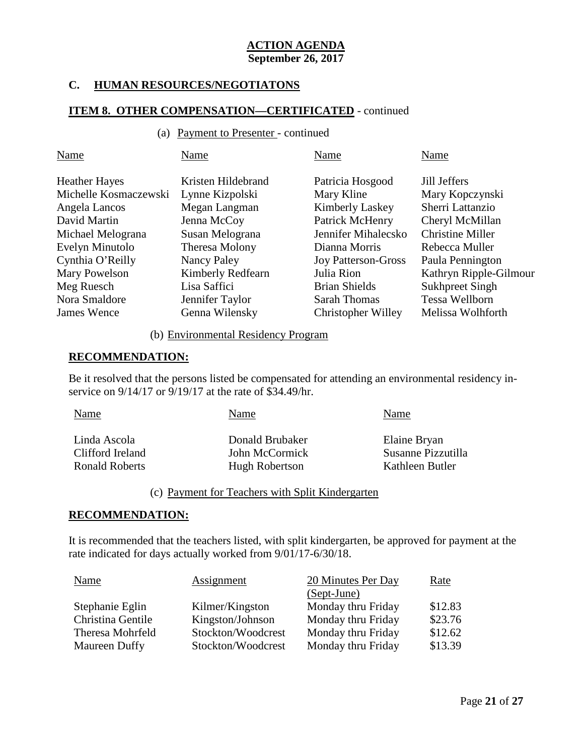# **C. HUMAN RESOURCES/NEGOTIATONS**

#### **ITEM 8. OTHER COMPENSATION—CERTIFICATED** - continued

#### (a) Payment to Presenter - continued

| Name                                          | Name                                  | Name                           | Name                            |
|-----------------------------------------------|---------------------------------------|--------------------------------|---------------------------------|
| <b>Heather Hayes</b><br>Michelle Kosmaczewski | Kristen Hildebrand<br>Lynne Kizpolski | Patricia Hosgood<br>Mary Kline | Jill Jeffers<br>Mary Kopczynski |
| Angela Lancos                                 | Megan Langman                         | <b>Kimberly Laskey</b>         | Sherri Lattanzio                |
| David Martin                                  | Jenna McCoy                           | Patrick McHenry                | Cheryl McMillan                 |
| Michael Melograna                             | Susan Melograna                       | Jennifer Mihalecsko            | <b>Christine Miller</b>         |
| Evelyn Minutolo                               | Theresa Molony                        | Dianna Morris                  | Rebecca Muller                  |
| Cynthia O'Reilly                              | Nancy Paley                           | <b>Joy Patterson-Gross</b>     | Paula Pennington                |
| Mary Powelson                                 | <b>Kimberly Redfearn</b>              | Julia Rion                     | Kathryn Ripple-Gilmour          |
| Meg Ruesch                                    | Lisa Saffici                          | <b>Brian Shields</b>           | <b>Sukhpreet Singh</b>          |
| Nora Smaldore                                 | Jennifer Taylor                       | <b>Sarah Thomas</b>            | Tessa Wellborn                  |
| James Wence                                   | Genna Wilensky                        | Christopher Willey             | Melissa Wolhforth               |

#### (b) Environmental Residency Program

#### **RECOMMENDATION:**

Be it resolved that the persons listed be compensated for attending an environmental residency inservice on  $9/14/17$  or  $9/19/17$  at the rate of \$34.49/hr.

| Linda Ascola<br>Elaine Bryan<br>Donald Brubaker                                                                        | Name | Name | Name |
|------------------------------------------------------------------------------------------------------------------------|------|------|------|
| Susanne Pizzutilla<br>Clifford Ireland<br>John McCormick<br><b>Ronald Roberts</b><br>Kathleen Butler<br>Hugh Robertson |      |      |      |

# (c) Payment for Teachers with Split Kindergarten

#### **RECOMMENDATION:**

It is recommended that the teachers listed, with split kindergarten, be approved for payment at the rate indicated for days actually worked from 9/01/17-6/30/18.

| Name                 | Assignment         | 20 Minutes Per Day | Rate    |
|----------------------|--------------------|--------------------|---------|
|                      |                    | (Sept-June)        |         |
| Stephanie Eglin      | Kilmer/Kingston    | Monday thru Friday | \$12.83 |
| Christina Gentile    | Kingston/Johnson   | Monday thru Friday | \$23.76 |
| Theresa Mohrfeld     | Stockton/Woodcrest | Monday thru Friday | \$12.62 |
| <b>Maureen Duffy</b> | Stockton/Woodcrest | Monday thru Friday | \$13.39 |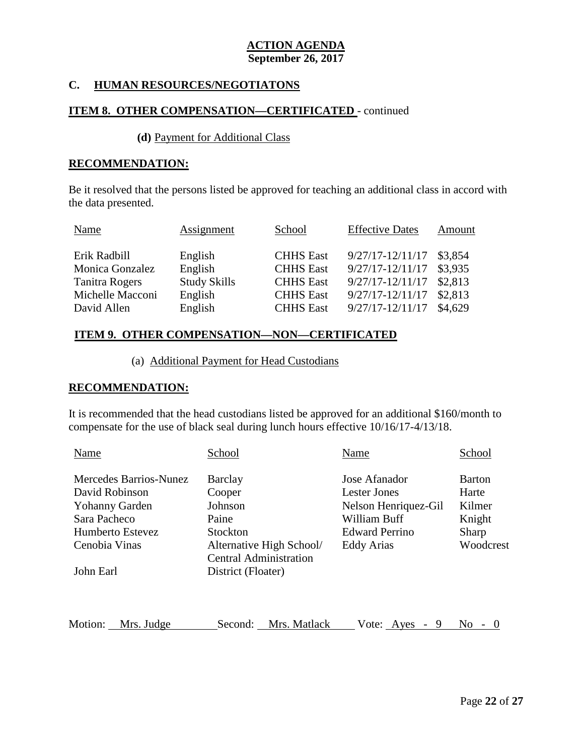## **C. HUMAN RESOURCES/NEGOTIATONS**

## **ITEM 8. OTHER COMPENSATION—CERTIFICATED** - continued

#### **(d)** Payment for Additional Class

# **RECOMMENDATION:**

Be it resolved that the persons listed be approved for teaching an additional class in accord with the data presented.

| Name             | Assignment          | School           | <b>Effective Dates</b> | Amount  |
|------------------|---------------------|------------------|------------------------|---------|
| Erik Radbill     | English             | <b>CHHS</b> East | $9/27/17 - 12/11/17$   | \$3,854 |
| Monica Gonzalez  | English             | <b>CHHS</b> East | $9/27/17 - 12/11/17$   | \$3,935 |
| Tanitra Rogers   | <b>Study Skills</b> | <b>CHHS</b> East | $9/27/17 - 12/11/17$   | \$2,813 |
| Michelle Macconi | English             | <b>CHHS</b> East | $9/27/17 - 12/11/17$   | \$2,813 |
| David Allen      | English             | <b>CHHS</b> East | $9/27/17 - 12/11/17$   | \$4,629 |

#### **ITEM 9. OTHER COMPENSATION—NON—CERTIFICATED**

(a) Additional Payment for Head Custodians

#### **RECOMMENDATION:**

It is recommended that the head custodians listed be approved for an additional \$160/month to compensate for the use of black seal during lunch hours effective 10/16/17-4/13/18.

| Name                          | School                                                    | Name                                        | School         |
|-------------------------------|-----------------------------------------------------------|---------------------------------------------|----------------|
| <b>Mercedes Barrios-Nunez</b> | Barclay                                                   | Jose Afanador                               | <b>Barton</b>  |
| David Robinson                | Cooper                                                    | Lester Jones                                | Harte          |
| Yohanny Garden                | Johnson                                                   | Nelson Henriquez-Gil                        | Kilmer         |
| Sara Pacheco                  | Paine                                                     | William Buff                                | Knight         |
| Humberto Estevez              | Stockton                                                  | <b>Edward Perrino</b>                       | Sharp          |
| Cenobia Vinas                 | Alternative High School/<br><b>Central Administration</b> | Eddy Arias                                  | Woodcrest      |
| John Earl                     | District (Floater)                                        |                                             |                |
|                               |                                                           |                                             |                |
| Motion:<br>Mrs. Judge         | Mrs. Matlack<br>Second:                                   | Vote: Ayes<br>9<br>$\overline{\phantom{a}}$ | N <sub>0</sub> |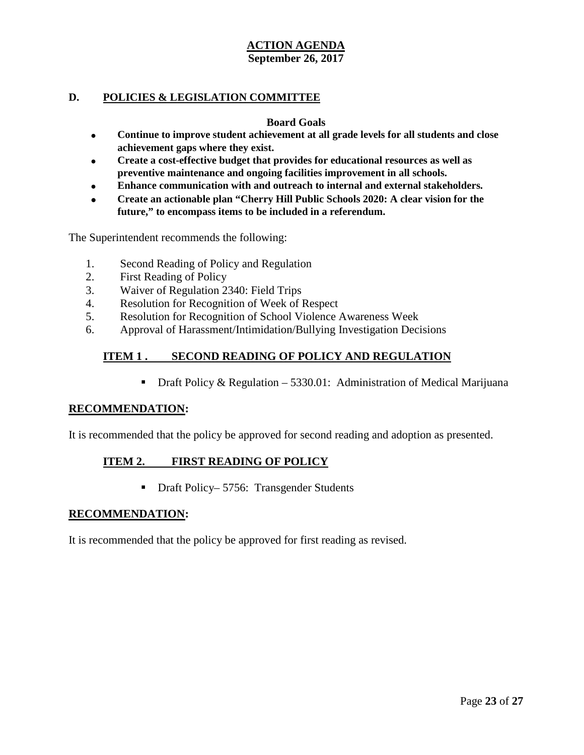## **D. POLICIES & LEGISLATION COMMITTEE**

#### **Board Goals**

- **Continue to improve student achievement at all grade levels for all students and close achievement gaps where they exist.**
- **Create a cost-effective budget that provides for educational resources as well as preventive maintenance and ongoing facilities improvement in all schools.**
- **Enhance communication with and outreach to internal and external stakeholders.**
- **Create an actionable plan "Cherry Hill Public Schools 2020: A clear vision for the future," to encompass items to be included in a referendum.**

The Superintendent recommends the following:

- 1. Second Reading of Policy and Regulation
- 2. First Reading of Policy
- 3. Waiver of Regulation 2340: Field Trips
- 4. Resolution for Recognition of Week of Respect
- 5. Resolution for Recognition of School Violence Awareness Week
- 6. Approval of Harassment/Intimidation/Bullying Investigation Decisions

# **ITEM 1 . SECOND READING OF POLICY AND REGULATION**

**•** Draft Policy & Regulation – 5330.01: Administration of Medical Marijuana

## **RECOMMENDATION:**

It is recommended that the policy be approved for second reading and adoption as presented.

## **ITEM 2. FIRST READING OF POLICY**

■ Draft Policy– 5756: Transgender Students

## **RECOMMENDATION:**

It is recommended that the policy be approved for first reading as revised.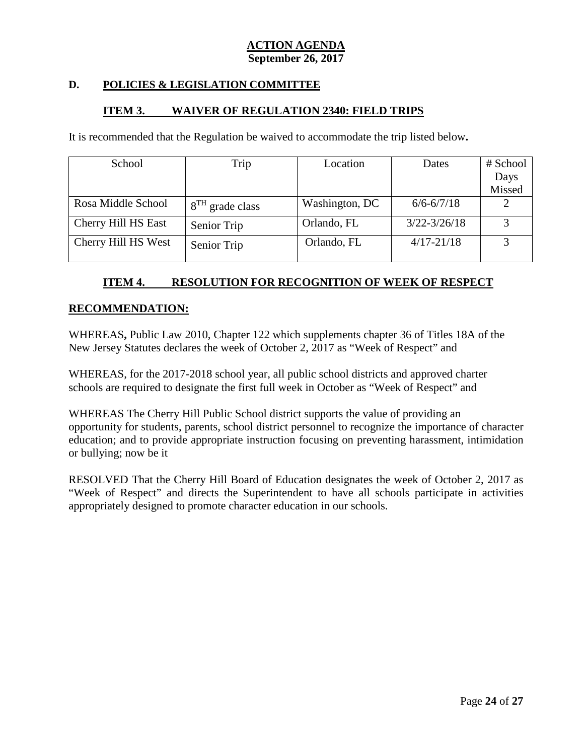# **D. POLICIES & LEGISLATION COMMITTEE**

## **ITEM 3. WAIVER OF REGULATION 2340: FIELD TRIPS**

It is recommended that the Regulation be waived to accommodate the trip listed below**.**

| School              | Trip              | Location       | Dates            | # School |
|---------------------|-------------------|----------------|------------------|----------|
|                     |                   |                |                  | Days     |
|                     |                   |                |                  | Missed   |
| Rosa Middle School  | $8TH$ grade class | Washington, DC | $6/6 - 6/7/18$   |          |
| Cherry Hill HS East | Senior Trip       | Orlando, FL    | $3/22 - 3/26/18$ |          |
| Cherry Hill HS West | Senior Trip       | Orlando, FL    | $4/17 - 21/18$   |          |

# **ITEM 4. RESOLUTION FOR RECOGNITION OF WEEK OF RESPECT**

#### **RECOMMENDATION:**

WHEREAS**,** Public Law 2010, Chapter 122 which supplements chapter 36 of Titles 18A of the New Jersey Statutes declares the week of October 2, 2017 as "Week of Respect" and

WHEREAS, for the 2017-2018 school year, all public school districts and approved charter schools are required to designate the first full week in October as "Week of Respect" and

WHEREAS The Cherry Hill Public School district supports the value of providing an opportunity for students, parents, school district personnel to recognize the importance of character education; and to provide appropriate instruction focusing on preventing harassment, intimidation or bullying; now be it

RESOLVED That the Cherry Hill Board of Education designates the week of October 2, 2017 as "Week of Respect" and directs the Superintendent to have all schools participate in activities appropriately designed to promote character education in our schools.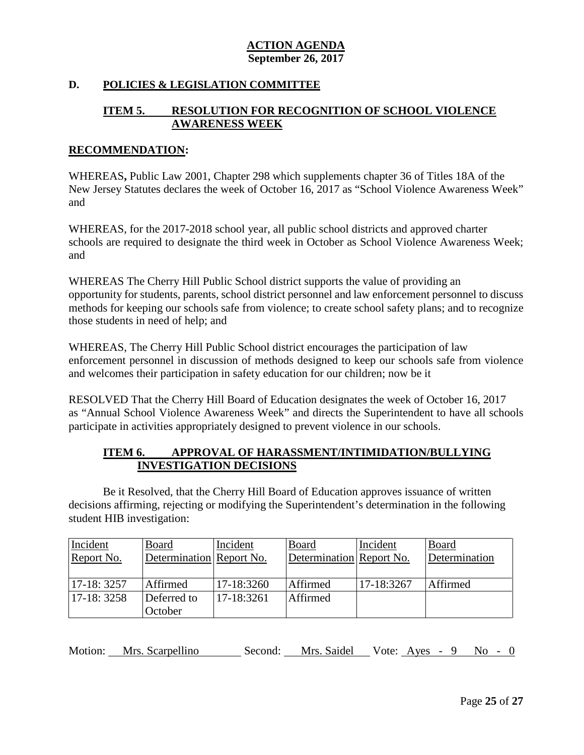# **D. POLICIES & LEGISLATION COMMITTEE**

# **ITEM 5. RESOLUTION FOR RECOGNITION OF SCHOOL VIOLENCE AWARENESS WEEK**

#### **RECOMMENDATION:**

WHEREAS**,** Public Law 2001, Chapter 298 which supplements chapter 36 of Titles 18A of the New Jersey Statutes declares the week of October 16, 2017 as "School Violence Awareness Week" and

WHEREAS, for the 2017-2018 school year, all public school districts and approved charter schools are required to designate the third week in October as School Violence Awareness Week; and

WHEREAS The Cherry Hill Public School district supports the value of providing an opportunity for students, parents, school district personnel and law enforcement personnel to discuss methods for keeping our schools safe from violence; to create school safety plans; and to recognize those students in need of help; and

WHEREAS, The Cherry Hill Public School district encourages the participation of law enforcement personnel in discussion of methods designed to keep our schools safe from violence and welcomes their participation in safety education for our children; now be it

RESOLVED That the Cherry Hill Board of Education designates the week of October 16, 2017 as "Annual School Violence Awareness Week" and directs the Superintendent to have all schools participate in activities appropriately designed to prevent violence in our schools.

# **ITEM 6. APPROVAL OF HARASSMENT/INTIMIDATION/BULLYING INVESTIGATION DECISIONS**

Be it Resolved, that the Cherry Hill Board of Education approves issuance of written decisions affirming, rejecting or modifying the Superintendent's determination in the following student HIB investigation:

| Incident    | <b>Board</b>             | Incident   | Board                    | Incident   | Board         |
|-------------|--------------------------|------------|--------------------------|------------|---------------|
| Report No.  | Determination Report No. |            | Determination Report No. |            | Determination |
|             |                          |            |                          |            |               |
| 17-18: 3257 | Affirmed                 | 17-18:3260 | Affirmed                 | 17-18:3267 | Affirmed      |
| 17-18: 3258 | Deferred to              | 17-18:3261 | Affirmed                 |            |               |
|             | October                  |            |                          |            |               |

Motion: Mrs. Scarpellino Second: Mrs. Saidel Vote: Ayes - 9 No - 0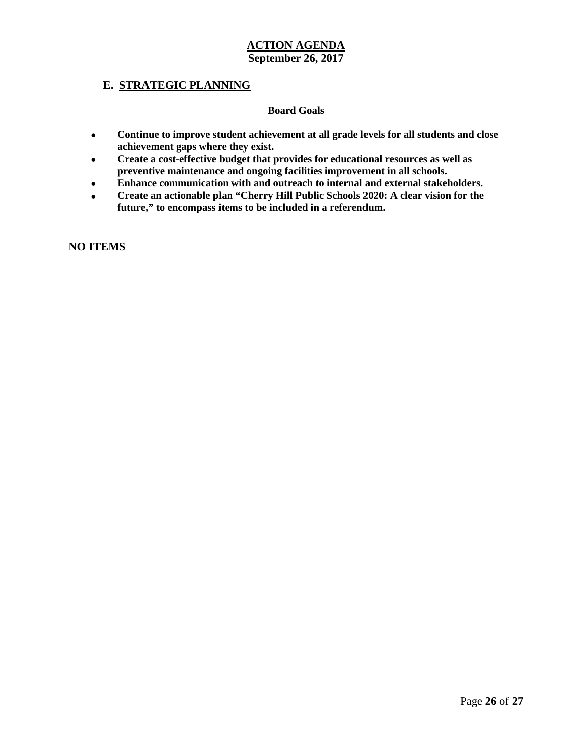## **E. STRATEGIC PLANNING**

#### **Board Goals**

- **Continue to improve student achievement at all grade levels for all students and close achievement gaps where they exist.**
- **Create a cost-effective budget that provides for educational resources as well as preventive maintenance and ongoing facilities improvement in all schools.**
- **Enhance communication with and outreach to internal and external stakeholders.**
- **Create an actionable plan "Cherry Hill Public Schools 2020: A clear vision for the future," to encompass items to be included in a referendum.**

**NO ITEMS**